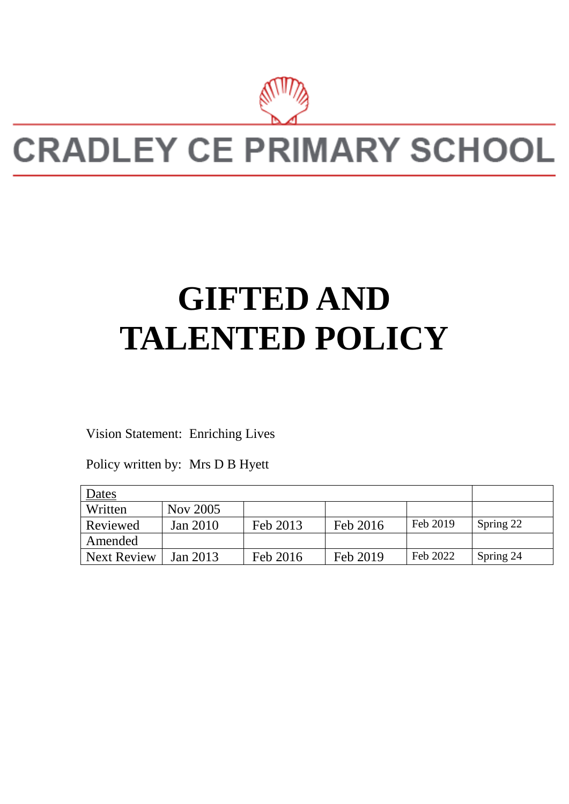

# **CRADLEY CE PRIMARY SCHOOL**

# **GIFTED AND TALENTED POLICY**

Vision Statement: Enriching Lives

Policy written by: Mrs D B Hyett

| Dates              |          |          |          |          |           |
|--------------------|----------|----------|----------|----------|-----------|
| Written            | Nov 2005 |          |          |          |           |
| Reviewed           | Jan 2010 | Feb 2013 | Feb 2016 | Feb 2019 | Spring 22 |
| Amended            |          |          |          |          |           |
| <b>Next Review</b> | Jan 2013 | Feb 2016 | Feb 2019 | Feb 2022 | Spring 24 |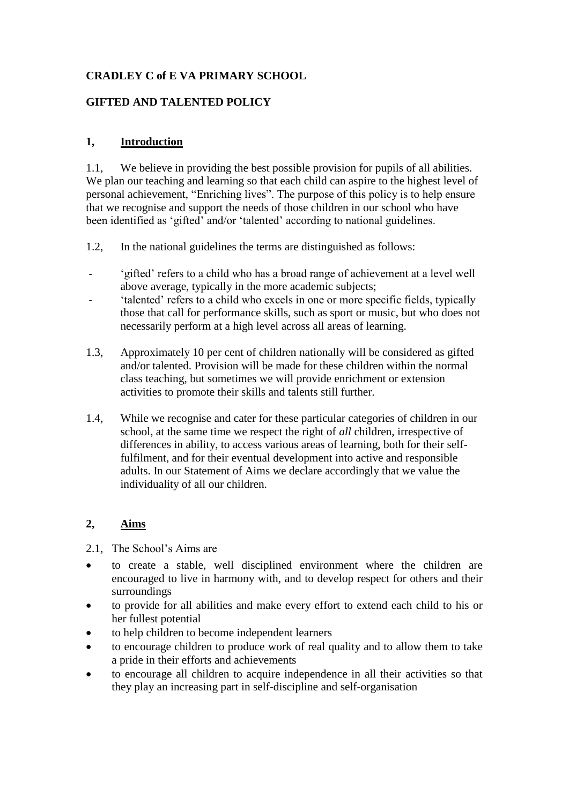## **CRADLEY C of E VA PRIMARY SCHOOL**

#### **GIFTED AND TALENTED POLICY**

#### **1, Introduction**

1.1, We believe in providing the best possible provision for pupils of all abilities. We plan our teaching and learning so that each child can aspire to the highest level of personal achievement, "Enriching lives". The purpose of this policy is to help ensure that we recognise and support the needs of those children in our school who have been identified as 'gifted' and/or 'talented' according to national guidelines.

- 1.2, In the national guidelines the terms are distinguished as follows:
- 'gifted' refers to a child who has a broad range of achievement at a level well above average, typically in the more academic subjects;
- 'talented' refers to a child who excels in one or more specific fields, typically those that call for performance skills, such as sport or music, but who does not necessarily perform at a high level across all areas of learning.
- 1.3, Approximately 10 per cent of children nationally will be considered as gifted and/or talented. Provision will be made for these children within the normal class teaching, but sometimes we will provide enrichment or extension activities to promote their skills and talents still further.
- 1.4, While we recognise and cater for these particular categories of children in our school, at the same time we respect the right of *all* children, irrespective of differences in ability, to access various areas of learning, both for their selffulfilment, and for their eventual development into active and responsible adults. In our Statement of Aims we declare accordingly that we value the individuality of all our children.

# **2, Aims**

2.1, The School's Aims are

- to create a stable, well disciplined environment where the children are encouraged to live in harmony with, and to develop respect for others and their surroundings
- to provide for all abilities and make every effort to extend each child to his or her fullest potential
- to help children to become independent learners
- to encourage children to produce work of real quality and to allow them to take a pride in their efforts and achievements
- to encourage all children to acquire independence in all their activities so that they play an increasing part in self-discipline and self-organisation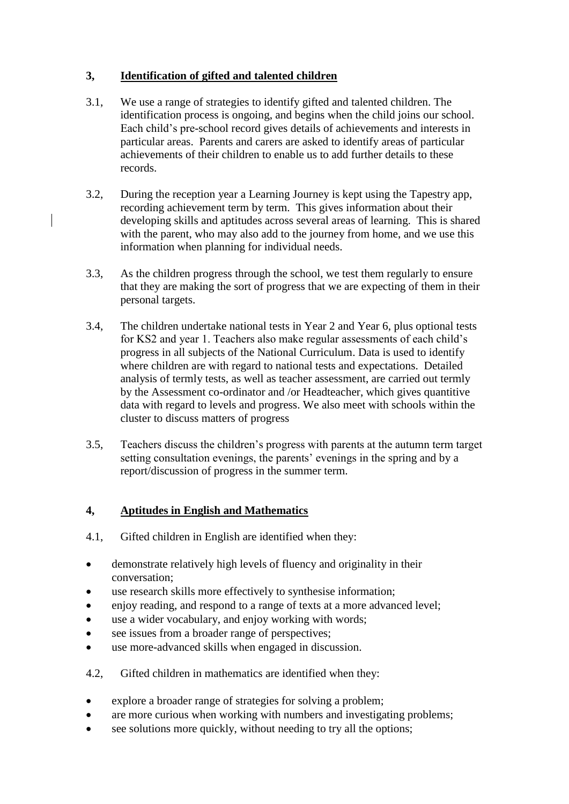## **3, Identification of gifted and talented children**

- 3.1, We use a range of strategies to identify gifted and talented children. The identification process is ongoing, and begins when the child joins our school. Each child's pre-school record gives details of achievements and interests in particular areas. Parents and carers are asked to identify areas of particular achievements of their children to enable us to add further details to these records.
- 3.2, During the reception year a Learning Journey is kept using the Tapestry app, recording achievement term by term. This gives information about their developing skills and aptitudes across several areas of learning. This is shared with the parent, who may also add to the journey from home, and we use this information when planning for individual needs.
- 3.3, As the children progress through the school, we test them regularly to ensure that they are making the sort of progress that we are expecting of them in their personal targets.
- 3.4, The children undertake national tests in Year 2 and Year 6, plus optional tests for KS2 and year 1. Teachers also make regular assessments of each child's progress in all subjects of the National Curriculum. Data is used to identify where children are with regard to national tests and expectations. Detailed analysis of termly tests, as well as teacher assessment, are carried out termly by the Assessment co-ordinator and /or Headteacher, which gives quantitive data with regard to levels and progress. We also meet with schools within the cluster to discuss matters of progress
- 3.5, Teachers discuss the children's progress with parents at the autumn term target setting consultation evenings, the parents' evenings in the spring and by a report/discussion of progress in the summer term.

# **4, Aptitudes in English and Mathematics**

- 4.1, Gifted children in English are identified when they:
- demonstrate relatively high levels of fluency and originality in their conversation;
- use research skills more effectively to synthesise information;
- enjoy reading, and respond to a range of texts at a more advanced level;
- use a wider vocabulary, and enjoy working with words;
- see issues from a broader range of perspectives;
- use more-advanced skills when engaged in discussion.
- 4.2, Gifted children in mathematics are identified when they:
- explore a broader range of strategies for solving a problem;
- are more curious when working with numbers and investigating problems;
- see solutions more quickly, without needing to try all the options;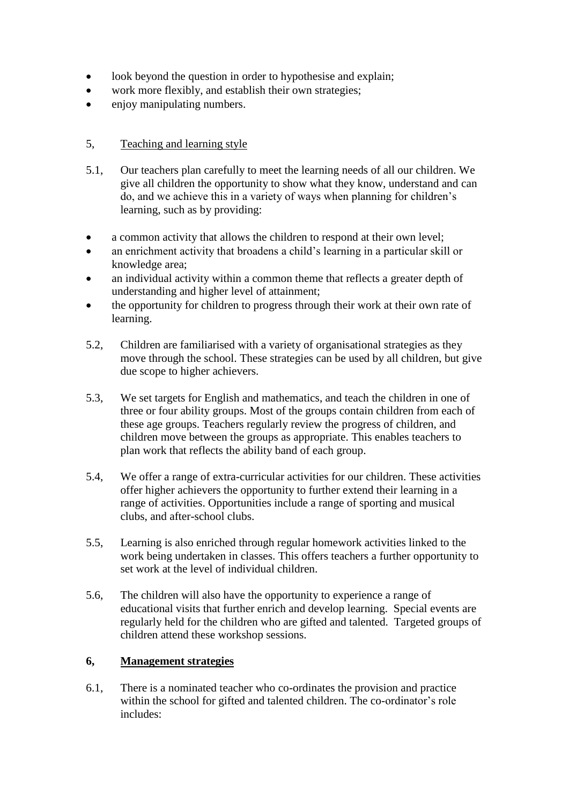- look beyond the question in order to hypothesise and explain;
- work more flexibly, and establish their own strategies;
- enjoy manipulating numbers.

#### 5, Teaching and learning style

- 5.1, Our teachers plan carefully to meet the learning needs of all our children. We give all children the opportunity to show what they know, understand and can do, and we achieve this in a variety of ways when planning for children's learning, such as by providing:
- a common activity that allows the children to respond at their own level;
- an enrichment activity that broadens a child's learning in a particular skill or knowledge area;
- an individual activity within a common theme that reflects a greater depth of understanding and higher level of attainment;
- the opportunity for children to progress through their work at their own rate of learning.
- 5.2, Children are familiarised with a variety of organisational strategies as they move through the school. These strategies can be used by all children, but give due scope to higher achievers.
- 5.3, We set targets for English and mathematics, and teach the children in one of three or four ability groups. Most of the groups contain children from each of these age groups. Teachers regularly review the progress of children, and children move between the groups as appropriate. This enables teachers to plan work that reflects the ability band of each group.
- 5.4, We offer a range of extra-curricular activities for our children. These activities offer higher achievers the opportunity to further extend their learning in a range of activities. Opportunities include a range of sporting and musical clubs, and after-school clubs.
- 5.5, Learning is also enriched through regular homework activities linked to the work being undertaken in classes. This offers teachers a further opportunity to set work at the level of individual children.
- 5.6, The children will also have the opportunity to experience a range of educational visits that further enrich and develop learning. Special events are regularly held for the children who are gifted and talented. Targeted groups of children attend these workshop sessions.

#### **6, Management strategies**

6.1, There is a nominated teacher who co-ordinates the provision and practice within the school for gifted and talented children. The co-ordinator's role includes: